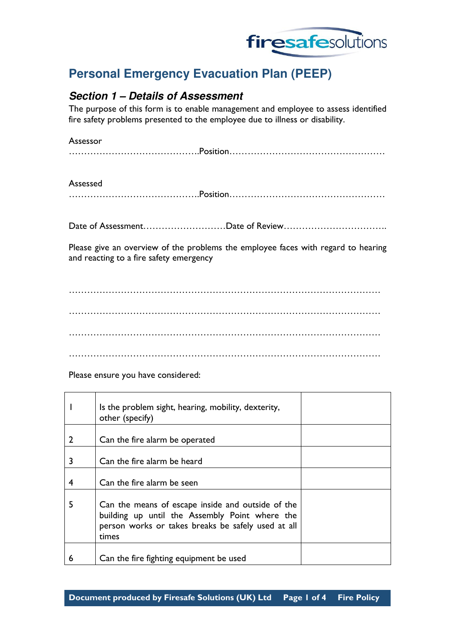

# **Personal Emergency Evacuation Plan (PEEP)**

# **Section 1 – Details of Assessment**

The purpose of this form is to enable management and employee to assess identified fire safety problems presented to the employee due to illness or disability.

### Assessor

|--|

### Assessed

…………………………………….Position……………………………………………

Date of Assessment………………………Date of Review…………………………….

Please give an overview of the problems the employee faces with regard to hearing and reacting to a fire safety emergency

………………………………………………………………………………………… ………………………………………………………………………………………… ………………………………………………………………………………………… …………………………………………………………………………………………

Please ensure you have considered:

|   | Is the problem sight, hearing, mobility, dexterity,<br>other (specify)                                                                                             |
|---|--------------------------------------------------------------------------------------------------------------------------------------------------------------------|
| 2 | Can the fire alarm be operated                                                                                                                                     |
| 3 | Can the fire alarm be heard                                                                                                                                        |
| 4 | Can the fire alarm be seen                                                                                                                                         |
| 5 | Can the means of escape inside and outside of the<br>building up until the Assembly Point where the<br>person works or takes breaks be safely used at all<br>times |
| 6 | Can the fire fighting equipment be used                                                                                                                            |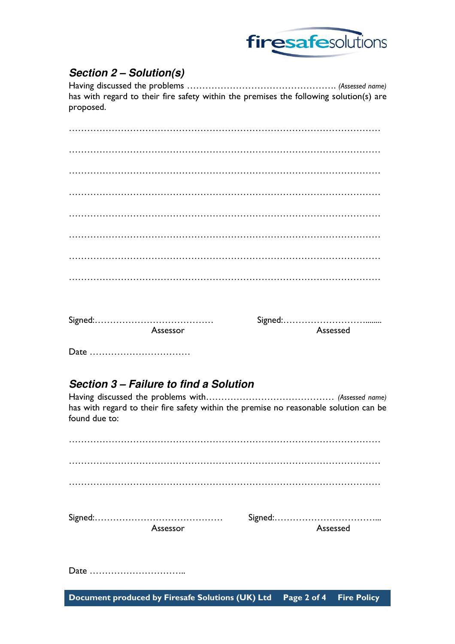

# **Section 2 – Solution(s)**

Having discussed the problems …………………………………………. (Assessed name) has with regard to their fire safety within the premises the following solution(s) are proposed.

| Assessor | Assessed |
|----------|----------|
|          |          |

# **Section 3 – Failure to find a Solution**

Having discussed the problems with………………………………………… (Assessed name) has with regard to their fire safety within the premise no reasonable solution can be found due to:

| Assessor | Assessed |
|----------|----------|
|          |          |
|          |          |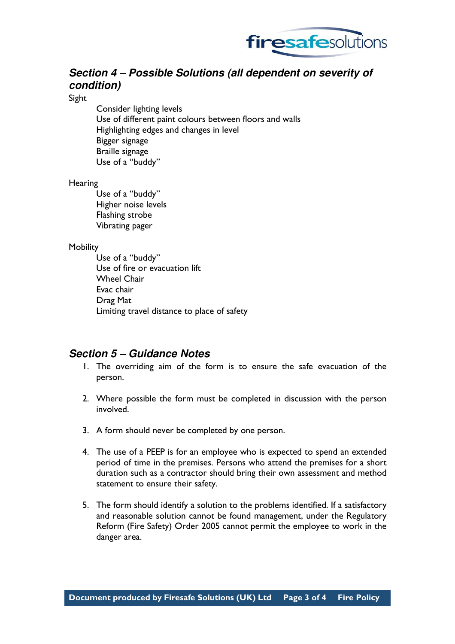

# **Section 4 – Possible Solutions (all dependent on severity of condition)**

Sight

Consider lighting levels Use of different paint colours between floors and walls Highlighting edges and changes in level Bigger signage Braille signage Use of a "buddy"

### **Hearing**

Use of a "buddy" Higher noise levels Flashing strobe Vibrating pager

### **Mobility**

Use of a "buddy" Use of fire or evacuation lift Wheel Chair Evac chair Drag Mat Limiting travel distance to place of safety

## **Section 5 – Guidance Notes**

- 1. The overriding aim of the form is to ensure the safe evacuation of the person.
- 2. Where possible the form must be completed in discussion with the person involved.
- 3. A form should never be completed by one person.
- 4. The use of a PEEP is for an employee who is expected to spend an extended period of time in the premises. Persons who attend the premises for a short duration such as a contractor should bring their own assessment and method statement to ensure their safety.
- 5. The form should identify a solution to the problems identified. If a satisfactory and reasonable solution cannot be found management, under the Regulatory Reform (Fire Safety) Order 2005 cannot permit the employee to work in the danger area.